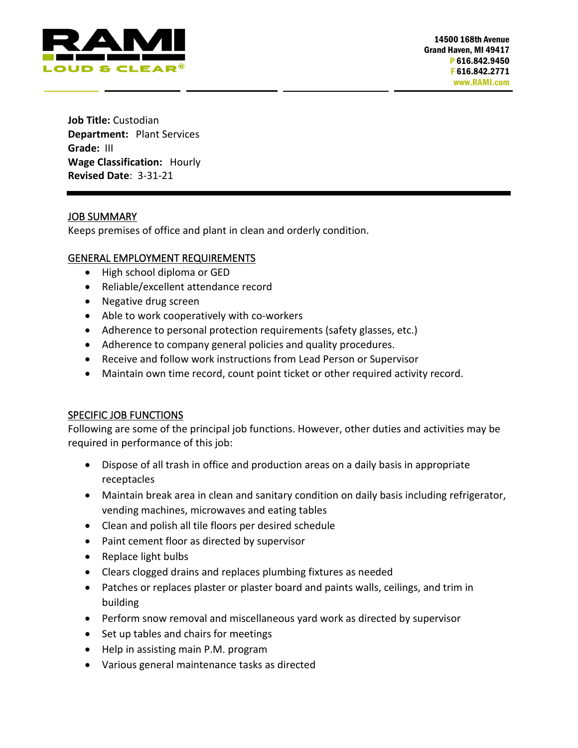

**Job Title:** Custodian **Department:** Plant Services **Grade:** III **Wage Classification:** Hourly **Revised Date**: 3-31-21

# JOB SUMMARY

Keeps premises of office and plant in clean and orderly condition.

# GENERAL EMPLOYMENT REQUIREMENTS

- High school diploma or GED
- Reliable/excellent attendance record
- Negative drug screen
- Able to work cooperatively with co-workers
- Adherence to personal protection requirements (safety glasses, etc.)
- Adherence to company general policies and quality procedures.
- Receive and follow work instructions from Lead Person or Supervisor
- Maintain own time record, count point ticket or other required activity record.

# SPECIFIC JOB FUNCTIONS

Following are some of the principal job functions. However, other duties and activities may be required in performance of this job:

- Dispose of all trash in office and production areas on a daily basis in appropriate receptacles
- Maintain break area in clean and sanitary condition on daily basis including refrigerator, vending machines, microwaves and eating tables
- Clean and polish all tile floors per desired schedule
- Paint cement floor as directed by supervisor
- Replace light bulbs
- Clears clogged drains and replaces plumbing fixtures as needed
- Patches or replaces plaster or plaster board and paints walls, ceilings, and trim in building
- Perform snow removal and miscellaneous yard work as directed by supervisor
- Set up tables and chairs for meetings
- Help in assisting main P.M. program
- Various general maintenance tasks as directed